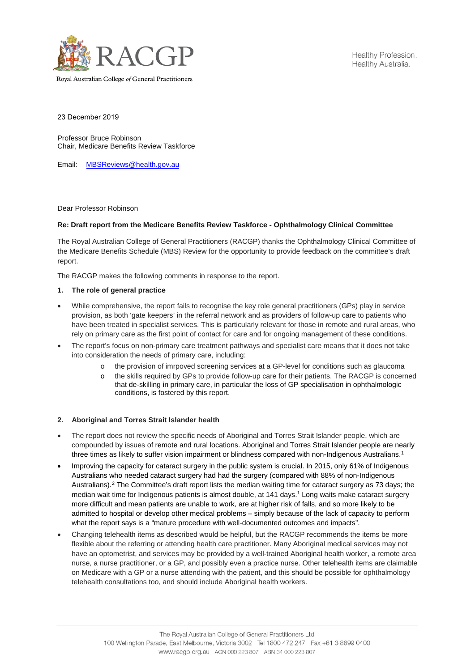

Healthy Profession. Healthy Australia.

Royal Australian College of General Practitioners

23 December 2019

Professor Bruce Robinson Chair, Medicare Benefits Review Taskforce

Email: [MBSReviews@health.gov.au](mailto:MBSReviews@health.gov.au)

Dear Professor Robinson

# **Re: Draft report from the Medicare Benefits Review Taskforce - Ophthalmology Clinical Committee**

The Royal Australian College of General Practitioners (RACGP) thanks the Ophthalmology Clinical Committee of the Medicare Benefits Schedule (MBS) Review for the opportunity to provide feedback on the committee's draft report.

The RACGP makes the following comments in response to the report.

# **1. The role of general practice**

- While comprehensive, the report fails to recognise the key role general practitioners (GPs) play in service provision, as both 'gate keepers' in the referral network and as providers of follow-up care to patients who have been treated in specialist services. This is particularly relevant for those in remote and rural areas, who rely on primary care as the first point of contact for care and for ongoing management of these conditions.
- The report's focus on non-primary care treatment pathways and specialist care means that it does not take into consideration the needs of primary care, including:
	- the provision of imrpoved screening services at a GP-level for conditions such as glaucoma
	- o the skills required by GPs to provide follow-up care for their patients. The RACGP is concerned that de-skilling in primary care, in particular the loss of GP specialisation in ophthalmologic conditions, is fostered by this report.

# **2. Aboriginal and Torres Strait Islander health**

- The report does not review the specific needs of Aboriginal and Torres Strait Islander people, which are compounded by issues of remote and rural locations. Aboriginal and Torres Strait Islander people are nearly three times as likely to suffer vision impairment or blindness compared with non-Indigenous Australians.<sup>[1](#page-1-0)</sup>
- Improving the capacity for cataract surgery in the public system is crucial. In 2015, only 61% of Indigenous Australians who needed cataract surgery had had the surgery (compared with 88% of non-Indigenous Australians)[.2](#page-1-1) The Committee's draft report lists the median waiting time for cataract surgery as 73 days; the median wait time for Indigenous patients is almost double, at 141 days.<sup>1</sup> Long waits make cataract surgery more difficult and mean patients are unable to work, are at higher risk of falls, and so more likely to be admitted to hospital or develop other medical problems – simply because of the lack of capacity to perform what the report says is a "mature procedure with well-documented outcomes and impacts".
- Changing telehealth items as described would be helpful, but the RACGP recommends the items be more flexible about the referring or attending health care practitioner. Many Aboriginal medical services may not have an optometrist, and services may be provided by a well-trained Aboriginal health worker, a remote area nurse, a nurse practitioner, or a GP, and possibly even a practice nurse. Other telehealth items are claimable on Medicare with a GP or a nurse attending with the patient, and this should be possible for ophthalmology telehealth consultations too, and should include Aboriginal health workers.